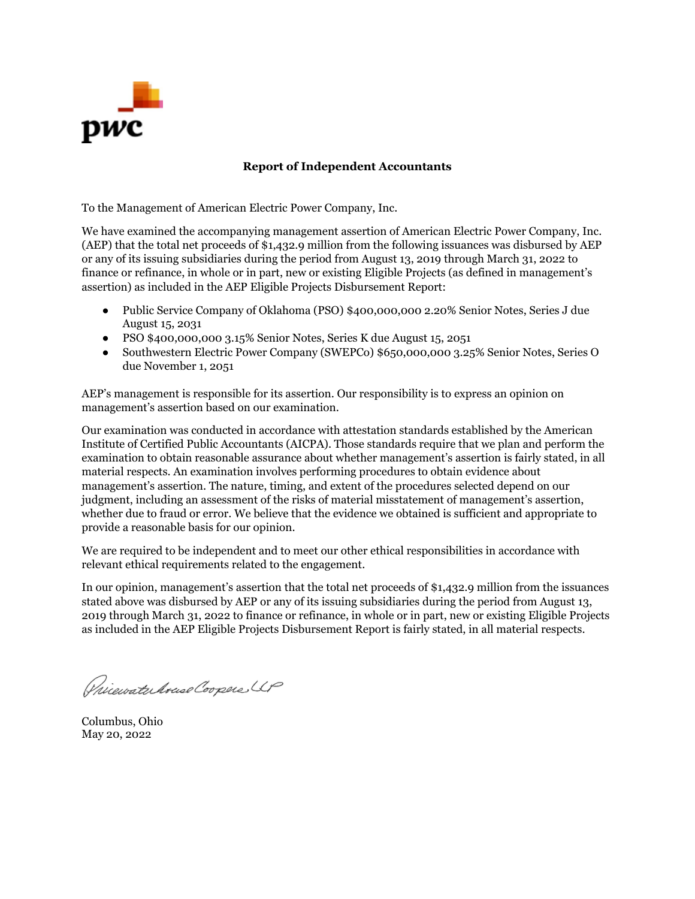

## **Report of Independent Accountants**

To the Management of American Electric Power Company, Inc.

We have examined the accompanying management assertion of American Electric Power Company, Inc. (AEP) that the total net proceeds of \$1,432.9 million from the following issuances was disbursed by AEP or any of its issuing subsidiaries during the period from August 13, 2019 through March 31, 2022 to finance or refinance, in whole or in part, new or existing Eligible Projects (as defined in management's assertion) as included in the AEP Eligible Projects Disbursement Report:

- Public Service Company of Oklahoma (PSO) \$400,000,000 2.20% Senior Notes, Series J due August 15, 2031
- PSO \$400,000,000 3.15% Senior Notes, Series K due August 15, 2051
- Southwestern Electric Power Company (SWEPCo) \$650,000,000 3.25% Senior Notes, Series O due November 1, 2051

AEP's management is responsible for its assertion. Our responsibility is to express an opinion on management's assertion based on our examination.

Our examination was conducted in accordance with attestation standards established by the American Institute of Certified Public Accountants (AICPA). Those standards require that we plan and perform the examination to obtain reasonable assurance about whether management's assertion is fairly stated, in all material respects. An examination involves performing procedures to obtain evidence about management's assertion. The nature, timing, and extent of the procedures selected depend on our judgment, including an assessment of the risks of material misstatement of management's assertion, whether due to fraud or error. We believe that the evidence we obtained is sufficient and appropriate to provide a reasonable basis for our opinion.

We are required to be independent and to meet our other ethical responsibilities in accordance with relevant ethical requirements related to the engagement.

In our opinion, management's assertion that the total net proceeds of \$1,432.9 million from the issuances stated above was disbursed by AEP or any of its issuing subsidiaries during the period from August 13, 2019 through March 31, 2022 to finance or refinance, in whole or in part, new or existing Eligible Projects as included in the AEP Eligible Projects Disbursement Report is fairly stated, in all material respects.

Pricevate Aruse Coopers UP

Columbus, Ohio May 20, 2022